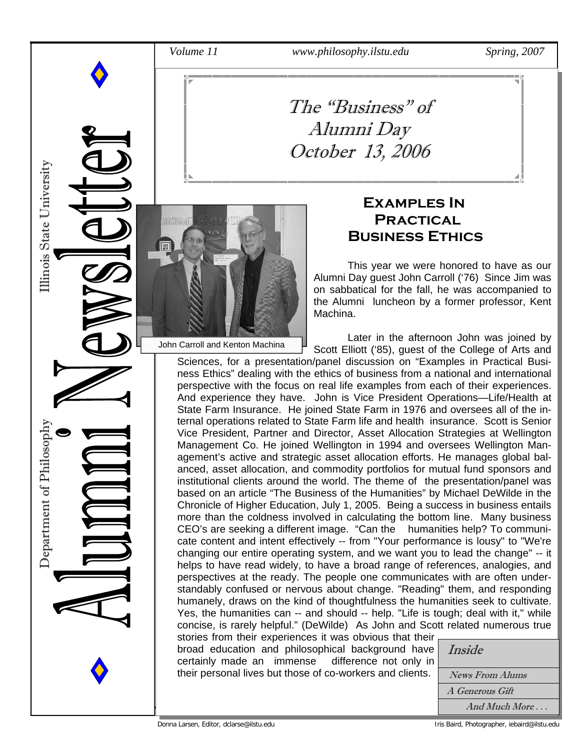*Volume 11 www.philosophy.ilstu.edu Spring, 2007* 

### The "Business" of Alumni Day October 13, 2006



John Carroll and Kenton Machina

Department of Philosophy<br>

Department of Philosoph

Illinois State University

#### **Examples In Practical Business Ethics**

 This year we were honored to have as our Alumni Day guest John Carroll ('76) Since Jim was on sabbatical for the fall, he was accompanied to the Alumni luncheon by a former professor, Kent Machina.

 Later in the afternoon John was joined by Scott Elliott ('85), guest of the College of Arts and

Sciences, for a presentation/panel discussion on "Examples in Practical Business Ethics" dealing with the ethics of business from a national and international perspective with the focus on real life examples from each of their experiences. And experience they have. John is Vice President Operations—Life/Health at State Farm Insurance. He joined State Farm in 1976 and oversees all of the internal operations related to State Farm life and health insurance. Scott is Senior Vice President, Partner and Director, Asset Allocation Strategies at Wellington Management Co. He joined Wellington in 1994 and oversees Wellington Management's active and strategic asset allocation efforts. He manages global balanced, asset allocation, and commodity portfolios for mutual fund sponsors and institutional clients around the world. The theme of the presentation/panel was based on an article "The Business of the Humanities" by Michael DeWilde in the Chronicle of Higher Education, July 1, 2005. Being a success in business entails more than the coldness involved in calculating the bottom line. Many business CEO's are seeking a different image. "Can the humanities help? To communicate content and intent effectively -- from "Your performance is lousy" to "We're changing our entire operating system, and we want you to lead the change" -- it helps to have read widely, to have a broad range of references, analogies, and perspectives at the ready. The people one communicates with are often understandably confused or nervous about change. "Reading" them, and responding humanely, draws on the kind of thoughtfulness the humanities seek to cultivate. Yes, the humanities can -- and should -- help. "Life is tough; deal with it," while concise, is rarely helpful." (DeWilde) As John and Scott related numerous true stories from their experiences it was obvious that their

broad education and philosophical background have certainly made an immense difference not only in their personal lives but those of co-workers and clients.

| Inside                 |
|------------------------|
|                        |
| News From Alums        |
| A Generous Gift        |
| And Much More $\ldots$ |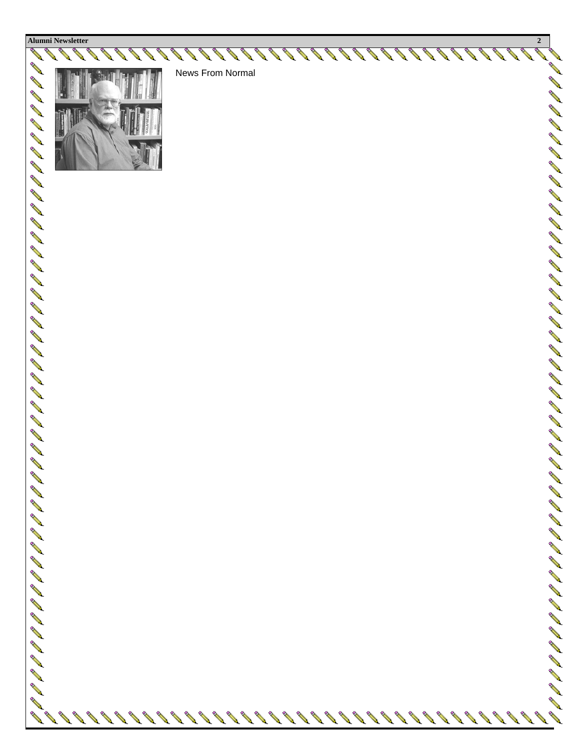



News From Normal

A A

N P P

AND A

イータイントリアイ イスマーク イータイム イーカイ イーカー クリーク イーター コーク

**ANTI ANY**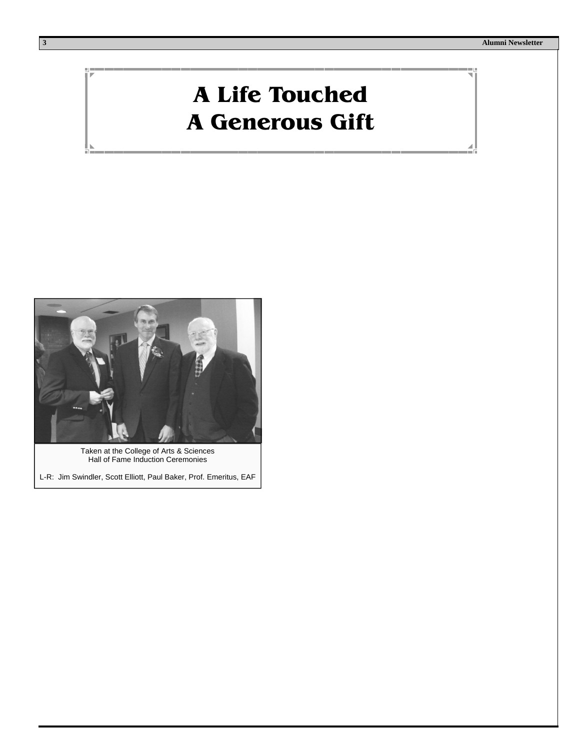## **A Life Touched A Generous Gift**



Taken at the College of Arts & Sciences Hall of Fame Induction Ceremonies

L-R: Jim Swindler, Scott Elliott, Paul Baker, Prof. Emeritus, EAF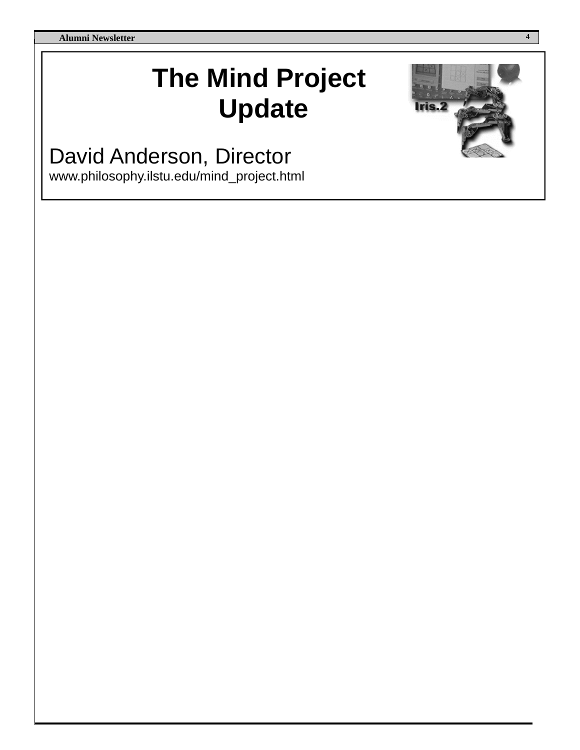**Alumni Newsletter 4** 

## **The Mind Project Update**

David Anderson, Director

www.philosophy.ilstu.edu/mind\_project.html

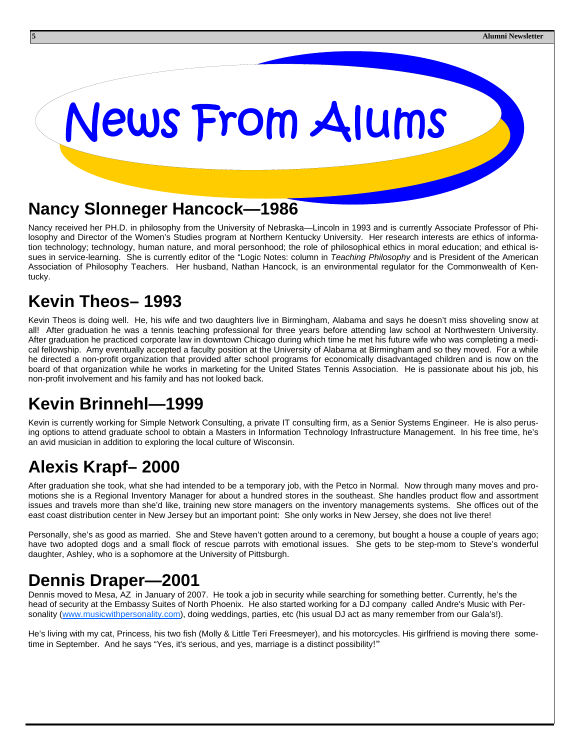# News From Alums

#### **Nancy Slonneger Hancock—1986**

Nancy received her PH.D. in philosophy from the University of Nebraska—Lincoln in 1993 and is currently Associate Professor of Philosophy and Director of the Women's Studies program at Northern Kentucky University. Her research interests are ethics of information technology; technology, human nature, and moral personhood; the role of philosophical ethics in moral education; and ethical issues in service-learning. She is currently editor of the "Logic Notes: column in *Teaching Philosophy* and is President of the American Association of Philosophy Teachers. Her husband, Nathan Hancock, is an environmental regulator for the Commonwealth of Kentucky.

#### **Kevin Theos– 1993**

Kevin Theos is doing well. He, his wife and two daughters live in Birmingham, Alabama and says he doesn't miss shoveling snow at all! After graduation he was a tennis teaching professional for three years before attending law school at Northwestern University. After graduation he practiced corporate law in downtown Chicago during which time he met his future wife who was completing a medical fellowship. Amy eventually accepted a faculty position at the University of Alabama at Birmingham and so they moved. For a while he directed a non-profit organization that provided after school programs for economically disadvantaged children and is now on the board of that organization while he works in marketing for the United States Tennis Association. He is passionate about his job, his non-profit involvement and his family and has not looked back.

#### **Kevin Brinnehl—1999**

Kevin is currently working for Simple Network Consulting, a private IT consulting firm, as a Senior Systems Engineer. He is also perusing options to attend graduate school to obtain a Masters in Information Technology Infrastructure Management. In his free time, he's an avid musician in addition to exploring the local culture of Wisconsin.

#### **Alexis Krapf– 2000**

After graduation she took, what she had intended to be a temporary job, with the Petco in Normal. Now through many moves and promotions she is a Regional Inventory Manager for about a hundred stores in the southeast. She handles product flow and assortment issues and travels more than she'd like, training new store managers on the inventory managements systems. She offices out of the east coast distribution center in New Jersey but an important point: She only works in New Jersey, she does not live there!

Personally, she's as good as married. She and Steve haven't gotten around to a ceremony, but bought a house a couple of years ago; have two adopted dogs and a small flock of rescue parrots with emotional issues. She gets to be step-mom to Steve's wonderful daughter, Ashley, who is a sophomore at the University of Pittsburgh.

#### **Dennis Draper—2001**

Dennis moved to Mesa, AZ in January of 2007. He took a job in security while searching for something better. Currently, he's the head of security at the Embassy Suites of North Phoenix. He also started working for a DJ company called Andre's Music with Personality (www.musicwithpersonality.com), doing weddings, parties, etc (his usual DJ act as many remember from our Gala's!).

He's living with my cat, Princess, his two fish (Molly & Little Teri Freesmeyer), and his motorcycles. His girlfriend is moving there sometime in September. And he says "Yes, it's serious, and yes, marriage is a distinct possibility!"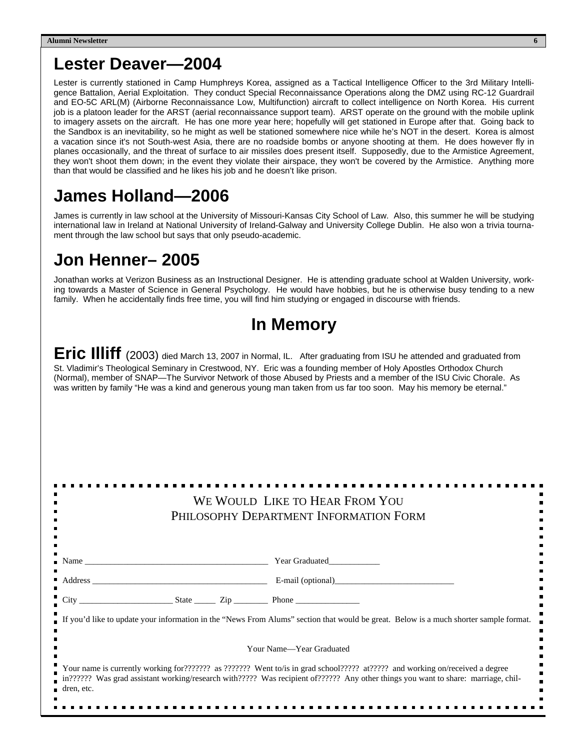#### **Lester Deaver—2004**

Lester is currently stationed in Camp Humphreys Korea, assigned as a Tactical Intelligence Officer to the 3rd Military Intelligence Battalion, Aerial Exploitation. They conduct Special Reconnaissance Operations along the DMZ using RC-12 Guardrail and EO-5C ARL(M) (Airborne Reconnaissance Low, Multifunction) aircraft to collect intelligence on North Korea. His current job is a platoon leader for the ARST (aerial reconnaissance support team). ARST operate on the ground with the mobile uplink to imagery assets on the aircraft. He has one more year here; hopefully will get stationed in Europe after that. Going back to the Sandbox is an inevitability, so he might as well be stationed somewhere nice while he's NOT in the desert. Korea is almost a vacation since it's not South-west Asia, there are no roadside bombs or anyone shooting at them. He does however fly in planes occasionally, and the threat of surface to air missiles does present itself. Supposedly, due to the Armistice Agreement, they won't shoot them down; in the event they violate their airspace, they won't be covered by the Armistice. Anything more than that would be classified and he likes his job and he doesn't like prison.

#### **James Holland—2006**

James is currently in law school at the University of Missouri-Kansas City School of Law. Also, this summer he will be studying international law in Ireland at National University of Ireland-Galway and University College Dublin. He also won a trivia tournament through the law school but says that only pseudo-academic.

#### **Jon Henner– 2005**

Jonathan works at Verizon Business as an Instructional Designer. He is attending graduate school at Walden University, working towards a Master of Science in General Psychology. He would have hobbies, but he is otherwise busy tending to a new family. When he accidentally finds free time, you will find him studying or engaged in discourse with friends.

#### **In Memory**

**Eric Illiff** (2003) died March 13, 2007 in Normal, IL. After graduating from ISU he attended and graduated from St. Vladimir's Theological Seminary in Crestwood, NY. Eric was a founding member of Holy Apostles Orthodox Church (Normal), member of SNAP—The Survivor Network of those Abused by Priests and a member of the ISU Civic Chorale. As was written by family "He was a kind and generous young man taken from us far too soon. May his memory be eternal."

| WE WOULD LIKE TO HEAR FROM YOU<br>PHILOSOPHY DEPARTMENT INFORMATION FORM |                                                                                                                                                                                                                                                                  |  |  |  |
|--------------------------------------------------------------------------|------------------------------------------------------------------------------------------------------------------------------------------------------------------------------------------------------------------------------------------------------------------|--|--|--|
| Name Name Near Graduated New Year Graduated                              |                                                                                                                                                                                                                                                                  |  |  |  |
|                                                                          |                                                                                                                                                                                                                                                                  |  |  |  |
|                                                                          |                                                                                                                                                                                                                                                                  |  |  |  |
|                                                                          | If you'd like to update your information in the "News From Alums" section that would be great. Below is a much shorter sample format.                                                                                                                            |  |  |  |
|                                                                          | Your Name—Year Graduated                                                                                                                                                                                                                                         |  |  |  |
| dren, etc.                                                               | Your name is currently working for??????? as ??????? Went to/is in grad school????? at????? and working on/received a degree<br>177777? Was grad assistant working/research with????? Was recipient of?????? Any other things you want to share: marriage, chil- |  |  |  |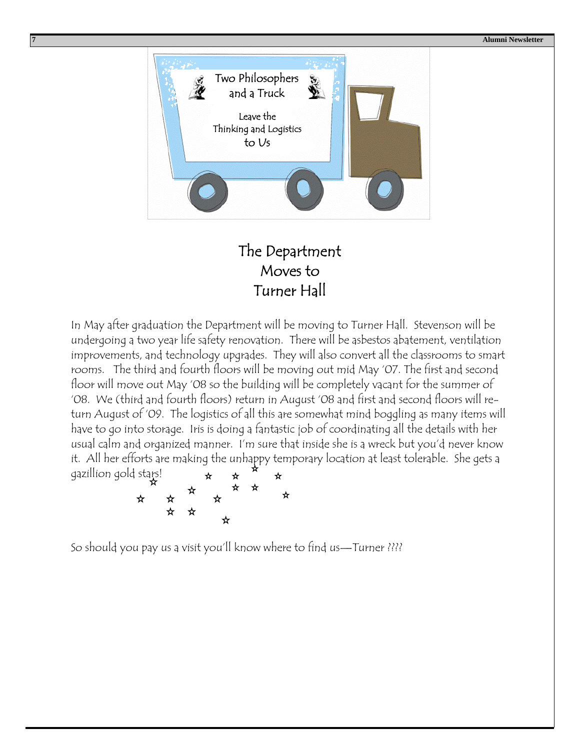**7 Alumni Newsletter** 



#### The Department Moves to Turner Hall

In May after graduation the Department will be moving to Turner Hall. Stevenson will be undergoing a two year life safety renovation. There will be asbestos abatement, ventilation improvements, and technology upgrades. They will also convert all the classrooms to smart rooms. The third and fourth floors will be moving out mid May '07. The first and second floor will move out May '08 so the building will be completely vacant for the summer of '08. We (third and fourth floors) return in August '08 and first and second floors will return August of '09. The logistics of all this are somewhat mind boggling as many items will have to go into storage. Iris is doing a fantastic job of coordinating all the details with her usual calm and organized manner. I'm sure that inside she is a wreck but you'd never know it. All her efforts are making the unhappy temporary location at least tolerable. She gets a gazillion gold stars! ☆ ☆



So should you pay us a visit you'll know where to find us—Turner ????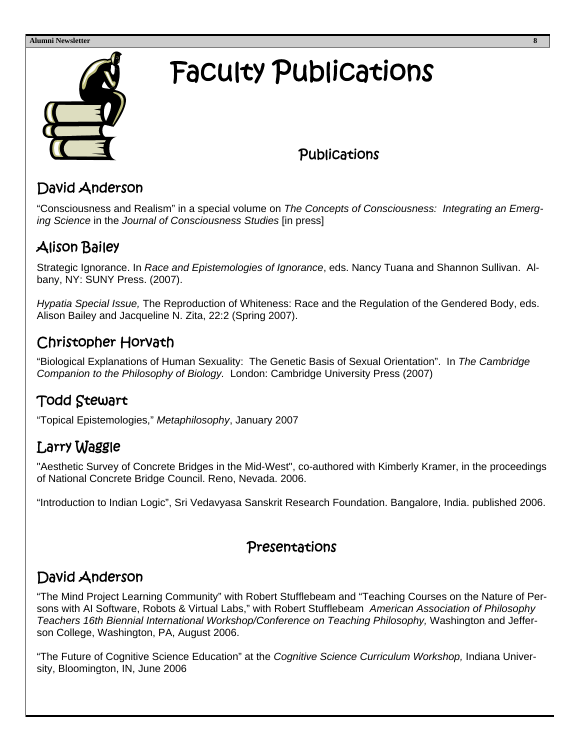#### **Alumni Newsletter 8**



## Faculty Publications

#### **Publications**

#### David Anderson

"Consciousness and Realism" in a special volume on *The Concepts of Consciousness: Integrating an Emerging Science* in the *Journal of Consciousness Studies* [in press]

#### Alison Bailey

Strategic Ignorance. In *Race and Epistemologies of Ignorance*, eds. Nancy Tuana and Shannon Sullivan. Albany, NY: SUNY Press. (2007).

*Hypatia Special Issue,* The Reproduction of Whiteness: Race and the Regulation of the Gendered Body, eds. Alison Bailey and Jacqueline N. Zita, 22:2 (Spring 2007).

#### Christopher Horvath

"Biological Explanations of Human Sexuality: The Genetic Basis of Sexual Orientation". In *The Cambridge Companion to the Philosophy of Biology.* London: Cambridge University Press (2007)

#### Todd Stewart

"Topical Epistemologies," *Metaphilosophy*, January 2007

#### Larry Waggle

"Aesthetic Survey of Concrete Bridges in the Mid-West", co-authored with Kimberly Kramer, in the proceedings of National Concrete Bridge Council. Reno, Nevada. 2006.

"Introduction to Indian Logic", Sri Vedavyasa Sanskrit Research Foundation. Bangalore, India. published 2006.

#### Presentations

#### David Anderson

"The Mind Project Learning Community" with Robert Stufflebeam and "Teaching Courses on the Nature of Persons with AI Software, Robots & Virtual Labs," with Robert Stufflebeam *American Association of Philosophy Teachers 16th Biennial International Workshop/Conference on Teaching Philosophy,* Washington and Jefferson College, Washington, PA, August 2006.

"The Future of Cognitive Science Education" at the *Cognitive Science Curriculum Workshop,* Indiana University, Bloomington, IN, June 2006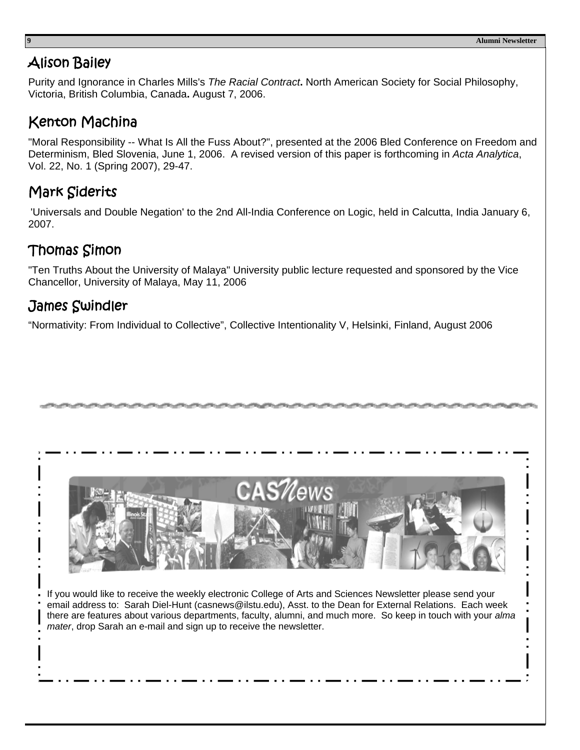#### Alison Bailey

Purity and Ignorance in Charles Mills's *The Racial Contract***.** North American Society for Social Philosophy, Victoria, British Columbia, Canada**.** August 7, 2006.

#### Kenton Machina

"Moral Responsibility -- What Is All the Fuss About?", presented at the 2006 Bled Conference on Freedom and Determinism, Bled Slovenia, June 1, 2006. A revised version of this paper is forthcoming in *Acta Analytica*, Vol. 22, No. 1 (Spring 2007), 29-47.

#### Mark Siderits

'Universals and Double Negation' to the 2nd All-India Conference on Logic, held in Calcutta, India January 6, 2007.

#### Thomas Simon

"Ten Truths About the University of Malaya" University public lecture requested and sponsored by the Vice Chancellor, University of Malaya, May 11, 2006

#### James Swindler

"Normativity: From Individual to Collective", Collective Intentionality V, Helsinki, Finland, August 2006



If you would like to receive the weekly electronic College of Arts and Sciences Newsletter please send your email address to: Sarah Diel-Hunt (casnews@ilstu.edu), Asst. to the Dean for External Relations. Each week there are features about various departments, faculty, alumni, and much more. So keep in touch with your *alma mater*, drop Sarah an e-mail and sign up to receive the newsletter.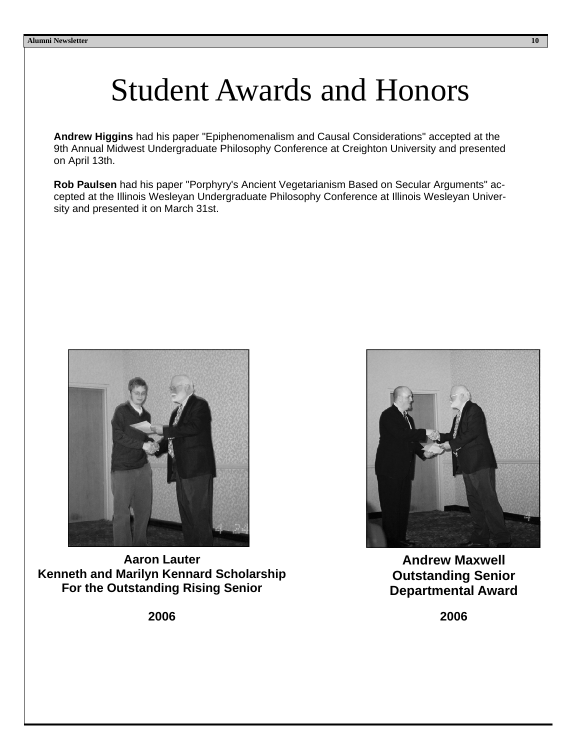## Student Awards and Honors

**Andrew Higgins** had his paper "Epiphenomenalism and Causal Considerations" accepted at the 9th Annual Midwest Undergraduate Philosophy Conference at Creighton University and presented on April 13th.

**Rob Paulsen** had his paper "Porphyry's Ancient Vegetarianism Based on Secular Arguments" accepted at the Illinois Wesleyan Undergraduate Philosophy Conference at Illinois Wesleyan University and presented it on March 31st.



**Aaron Lauter Kenneth and Marilyn Kennard Scholarship For the Outstanding Rising Senior** 

**2006** 



**Andrew Maxwell Outstanding Senior Departmental Award** 

**2006**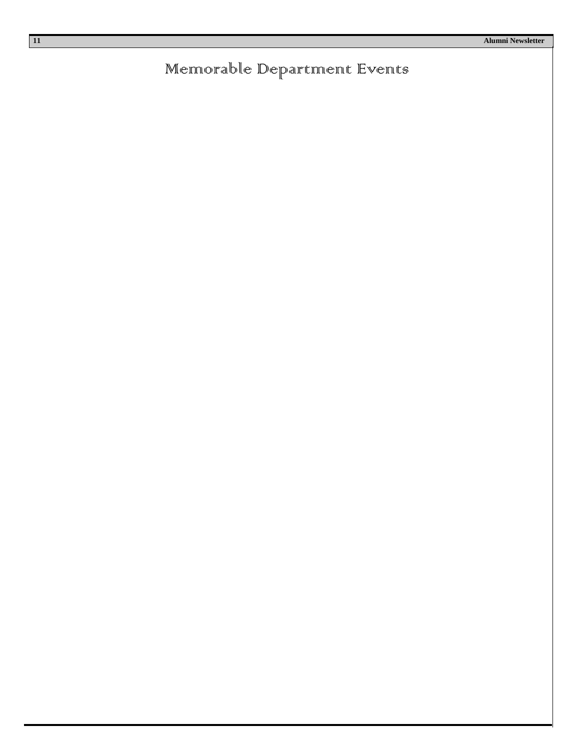#### Memorable Department Events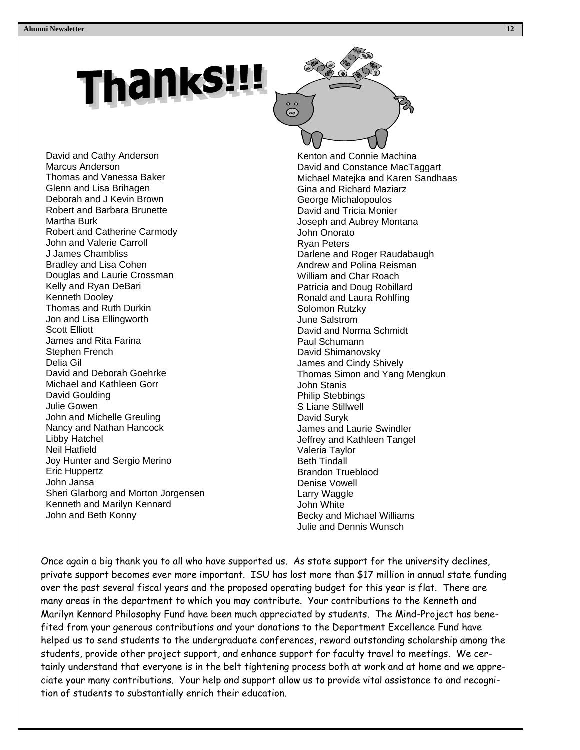## **Thanks!!!**

David and Cathy Anderson Marcus Anderson Thomas and Vanessa Baker Glenn and Lisa Brihagen Deborah and J Kevin Brown Robert and Barbara Brunette Martha Burk Robert and Catherine Carmody John and Valerie Carroll J James Chambliss Bradley and Lisa Cohen Douglas and Laurie Crossman Kelly and Ryan DeBari Kenneth Dooley Thomas and Ruth Durkin Jon and Lisa Ellingworth Scott Elliott James and Rita Farina Stephen French Delia Gil David and Deborah Goehrke Michael and Kathleen Gorr David Goulding Julie Gowen John and Michelle Greuling Nancy and Nathan Hancock Libby Hatchel Neil Hatfield Joy Hunter and Sergio Merino Eric Huppertz John Jansa Sheri Glarborg and Morton Jorgensen Kenneth and Marilyn Kennard John and Beth Konny



Kenton and Connie Machina David and Constance MacTaggart Michael Matejka and Karen Sandhaas Gina and Richard Maziarz George Michalopoulos David and Tricia Monier Joseph and Aubrey Montana John Onorato Ryan Peters Darlene and Roger Raudabaugh Andrew and Polina Reisman William and Char Roach Patricia and Doug Robillard Ronald and Laura Rohlfing Solomon Rutzky June Salstrom David and Norma Schmidt Paul Schumann David Shimanovsky James and Cindy Shively Thomas Simon and Yang Mengkun John Stanis Philip Stebbings S Liane Stillwell David Suryk James and Laurie Swindler Jeffrey and Kathleen Tangel Valeria Taylor Beth Tindall Brandon Trueblood Denise Vowell Larry Waggle John White Becky and Michael Williams Julie and Dennis Wunsch

Once again a big thank you to all who have supported us. As state support for the university declines, private support becomes ever more important. ISU has lost more than \$17 million in annual state funding over the past several fiscal years and the proposed operating budget for this year is flat. There are many areas in the department to which you may contribute. Your contributions to the Kenneth and Marilyn Kennard Philosophy Fund have been much appreciated by students. The Mind-Project has benefited from your generous contributions and your donations to the Department Excellence Fund have helped us to send students to the undergraduate conferences, reward outstanding scholarship among the students, provide other project support, and enhance support for faculty travel to meetings. We certainly understand that everyone is in the belt tightening process both at work and at home and we appreciate your many contributions. Your help and support allow us to provide vital assistance to and recognition of students to substantially enrich their education.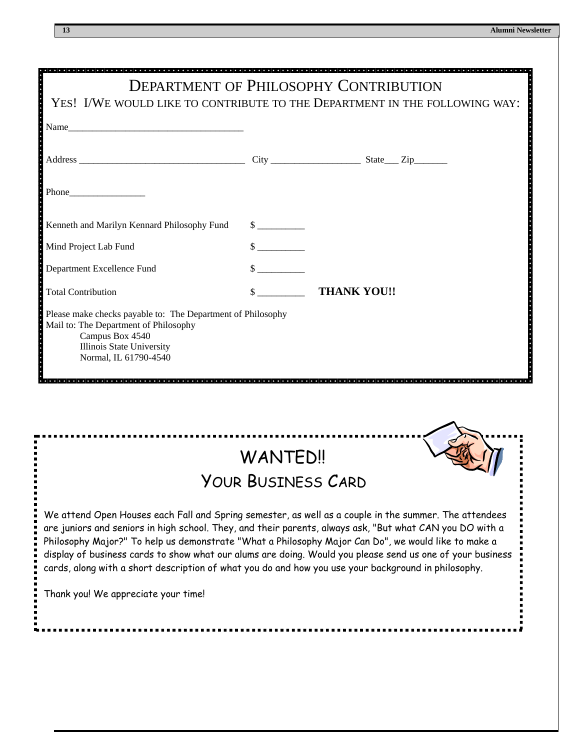|                                                                                                                                                                                                                                                                                                                                                                                                                                                                                                                                                                                     |                             | <b>DEPARTMENT OF PHILOSOPHY CONTRIBUTION</b>                               |  |  |
|-------------------------------------------------------------------------------------------------------------------------------------------------------------------------------------------------------------------------------------------------------------------------------------------------------------------------------------------------------------------------------------------------------------------------------------------------------------------------------------------------------------------------------------------------------------------------------------|-----------------------------|----------------------------------------------------------------------------|--|--|
|                                                                                                                                                                                                                                                                                                                                                                                                                                                                                                                                                                                     |                             | YES! I/WE WOULD LIKE TO CONTRIBUTE TO THE DEPARTMENT IN THE FOLLOWING WAY: |  |  |
| Name                                                                                                                                                                                                                                                                                                                                                                                                                                                                                                                                                                                |                             |                                                                            |  |  |
|                                                                                                                                                                                                                                                                                                                                                                                                                                                                                                                                                                                     |                             |                                                                            |  |  |
| $Phone$                                                                                                                                                                                                                                                                                                                                                                                                                                                                                                                                                                             |                             |                                                                            |  |  |
| Kenneth and Marilyn Kennard Philosophy Fund                                                                                                                                                                                                                                                                                                                                                                                                                                                                                                                                         | $\frac{\text{S}}{\text{S}}$ |                                                                            |  |  |
| Mind Project Lab Fund                                                                                                                                                                                                                                                                                                                                                                                                                                                                                                                                                               |                             |                                                                            |  |  |
| Department Excellence Fund                                                                                                                                                                                                                                                                                                                                                                                                                                                                                                                                                          |                             |                                                                            |  |  |
| <b>Total Contribution</b>                                                                                                                                                                                                                                                                                                                                                                                                                                                                                                                                                           |                             | \$ THANK YOU!!                                                             |  |  |
| Please make checks payable to: The Department of Philosophy<br>Mail to: The Department of Philosophy<br>Campus Box 4540<br>Illinois State University<br>Normal, IL 61790-4540                                                                                                                                                                                                                                                                                                                                                                                                       |                             |                                                                            |  |  |
| <b>WANTED!!</b>                                                                                                                                                                                                                                                                                                                                                                                                                                                                                                                                                                     |                             |                                                                            |  |  |
| YOUR BUSINESS CARD                                                                                                                                                                                                                                                                                                                                                                                                                                                                                                                                                                  |                             |                                                                            |  |  |
| We attend Open Houses each Fall and Spring semester, as well as a couple in the summer. The attendees<br>are juniors and seniors in high school. They, and their parents, always ask, "But what CAN you DO with a<br>Philosophy Major?" To help us demonstrate "What a Philosophy Major Can Do", we would like to make a<br>display of business cards to show what our alums are doing. Would you please send us one of your business<br>cards, along with a short description of what you do and how you use your background in philosophy.<br>Thank you! We appreciate your time! |                             |                                                                            |  |  |